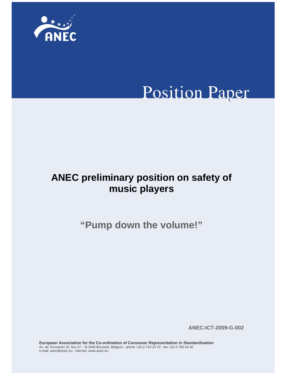

# **Position Paper**

# **ANEC preliminary position on safety of music players**

**"Pump down the volume!"** 

**ANEC-ICT-2009-G-002** 

**European Association for the Co-ordination of Consumer Representation in Standardisation**  Av. de Tervueren 32, box 27 – B-1040 Brussels, Belgium - phone +32-2-743 24 70 - fax +32-2-706 54 30 e-mail: anec@anec.eu - internet: www.anec.eu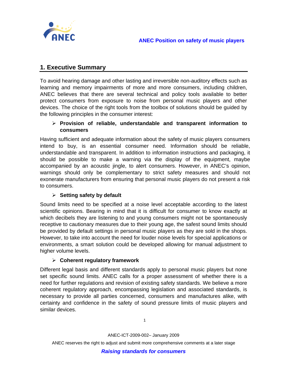

# **1. Executive Summary**

To avoid hearing damage and other lasting and irreversible non-auditory effects such as learning and memory impairments of more and more consumers, including children, ANEC believes that there are several technical and policy tools available to better protect consumers from exposure to noise from personal music players and other devices. The choice of the right tools from the toolbox of solutions should be guided by the following principles in the consumer interest:

#### ¾ **Provision of reliable, understandable and transparent information to consumers**

Having sufficient and adequate information about the safety of music players consumers intend to buy, is an essential consumer need. Information should be reliable, understandable and transparent. In addition to information instructions and packaging, it should be possible to make a warning via the display of the equipment, maybe accompanied by an acoustic jingle, to alert consumers. However, in ANEC's opinion, warnings should only be complementary to strict safety measures and should not exonerate manufacturers from ensuring that personal music players do not present a risk to consumers.

## ¾ **Setting safety by default**

Sound limits need to be specified at a noise level acceptable according to the latest scientific opinions. Bearing in mind that it is difficult for consumer to know exactly at which decibels they are listening to and young consumers might not be spontaneously receptive to cautionary measures due to their young age, the safest sound limits should be provided by default settings in personal music players as they are sold in the shops. However, to take into account the need for louder noise levels for special applications or environments, a smart solution could be developed allowing for manual adjustment to higher volume levels.

#### ¾ **Coherent regulatory framework**

Different legal basis and different standards apply to personal music players but none set specific sound limits. ANEC calls for a proper assessment of whether there is a need for further regulations and revision of existing safety standards. We believe a more coherent regulatory approach, encompassing legislation and associated standards, is necessary to provide all parties concerned, consumers and manufactures alike, with certainty and confidence in the safety of sound pressure limits of music players and similar devices.

1

ANEC-ICT-2009-002– January 2009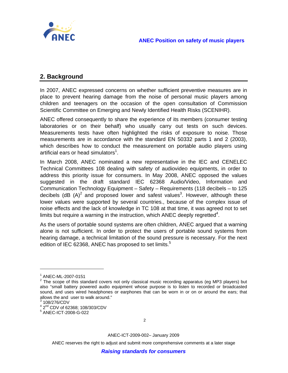

# **2. Background**

In 2007, ANEC expressed concerns on whether sufficient preventive measures are in place to prevent hearing damage from the noise of personal music players among children and teenagers on the occasion of the open consultation of Commission Scientific Committee on Emerging and Newly Identified Health Risks (SCENIHR).

ANEC offered consequently to share the experience of its members (consumer testing laboratories or on their behalf) who usually carry out tests on such devices. Measurements tests have often highlighted the risks of exposure to noise. Those measurements are in accordance with the standard EN 50332 parts 1 and 2 (2003), which describes how to conduct the measurement on portable audio players using artificial ears or head simulators<sup>1</sup>.

In March 2008, ANEC nominated a new representative in the IEC and CENELEC Technical Committees 108 dealing with safety of audiovideo equipments, in order to address this priority issue for consumers. In May 2008, ANEC opposed the values suggested in the draft standard IEC 62368 Audio/Video, Information and Communication Technology Equipment – Safety – Requirements (118 decibels – to 125 decibels (dB (A)<sup>2</sup> and proposed lower and safest values<sup>3</sup>. However, although these lower values were supported by several countries., because of the complex issue of noise effects and the lack of knowledge in TC 108 at that time, it was agreed not to set limits but require a warning in the instruction, which ANEC deeply regretted<sup>4</sup>.

As the users of portable sound systems are often children, ANEC argued that a warning alone is not sufficient. In order to protect the users of portable sound systems from hearing damage, a technical limitation of the sound pressure is necessary. For the next edition of IEC 62368, ANEC has proposed to set limits.<sup>5</sup>

 $\overline{a}$ 

ANEC-ICT-2009-002– January 2009

<sup>1</sup> ANEC-ML-2007-0151

 $2$  The scope of this standard covers not only classical music recording apparatus (eg MP3 players) but also "small battery powered audio equipment whose purpose is to listen to recorded or broadcasted sound, and uses wired headphones or earphones that can be worn in or on or around the ears; that allows the and user to walk around." 3

 $^3$  108/276/CDV

 $^{4}$  2<sup>nd</sup> CDV of 62368; 108/303/CDV

ANEC-ICT-2008-G-022

<sup>2</sup>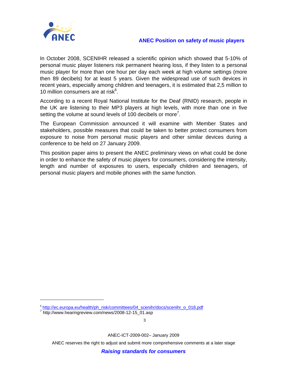

#### **ANEC Position on safety of music players**

In October 2008, SCENIHR released a scientific opinion which showed that 5-10% of personal music player listeners risk permanent hearing loss, if they listen to a personal music player for more than one hour per day each week at high volume settings (more then 89 decibels) for at least 5 years. Given the widespread use of such devices in recent years, especially among children and teenagers, it is estimated that 2,5 million to 10 million consumers are at risk $6$ .

According to a recent Royal National Institute for the Deaf (RNID) research, people in the UK are listening to their MP3 players at high levels, with more than one in five setting the volume at sound levels of 100 decibels or more<sup>7</sup>.

The European Commission announced it will examine with Member States and stakeholders, possible measures that could be taken to better protect consumers from exposure to noise from personal music players and other similar devices during a conference to be held on 27 January 2009.

This position paper aims to present the ANEC preliminary views on what could be done in order to enhance the safety of music players for consumers, considering the intensity, length and number of exposures to users, especially children and teenagers, of personal music players and mobile phones with the same function.

 $\overline{a}$ 

3

ANEC-ICT-2009-002– January 2009

ANEC reserves the right to adjust and submit more comprehensive comments at a later stage

*Raising standards for consumers*

<sup>6</sup> http://ec.europa.eu/health/ph\_risk/committees/04\_scenihr/docs/scenihr\_o\_018.pdf <sup>7</sup>

<sup>&</sup>lt;sup>7</sup> http://www.hearingreview.com/news/2008-12-15\_01.asp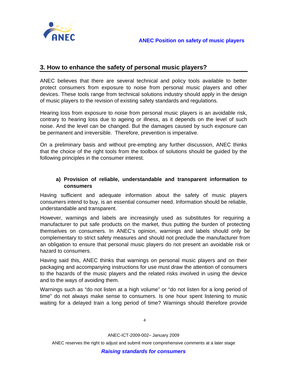

# **3. How to enhance the safety of personal music players?**

ANEC believes that there are several technical and policy tools available to better protect consumers from exposure to noise from personal music players and other devices. These tools range from technical solutions industry should apply in the design of music players to the revision of existing safety standards and regulations.

Hearing loss from exposure to noise from personal music players is an avoidable risk, contrary to hearing loss due to ageing or illness, as it depends on the level of such noise. And the level can be changed. But the damages caused by such exposure can be permanent and irreversible. Therefore, prevention is imperative.

On a preliminary basis and without pre-empting any further discussion, ANEC thinks that the choice of the right tools from the toolbox of solutions should be guided by the following principles in the consumer interest.

#### **a) Provision of reliable, understandable and transparent information to consumers**

Having sufficient and adequate information about the safety of music players consumers intend to buy, is an essential consumer need. Information should be reliable, understandable and transparent.

However, warnings and labels are increasingly used as substitutes for requiring a manufacturer to put safe products on the market, thus putting the burden of protecting themselves on consumers. In ANEC's opinion, warnings and labels should only be complementary to strict safety measures and should not preclude the manufacturer from an obligation to ensure that personal music players do not present an avoidable risk or hazard to consumers.

Having said this, ANEC thinks that warnings on personal music players and on their packaging and accompanying instructions for use must draw the attention of consumers to the hazards of the music players and the related risks involved in using the device and to the ways of avoiding them.

Warnings such as "do not listen at a high volume" or "do not listen for a long period of time" do not always make sense to consumers. Is one hour spent listening to music waiting for a delayed train a long period of time? Warnings should therefore provide

4

ANEC-ICT-2009-002– January 2009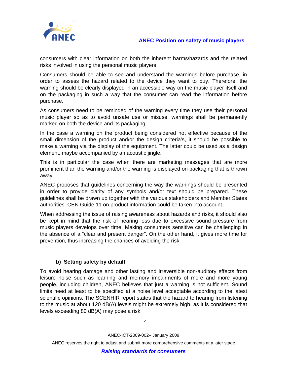

#### **ANEC Position on safety of music players**

consumers with clear information on both the inherent harms/hazards and the related risks involved in using the personal music players.

Consumers should be able to see and understand the warnings before purchase, in order to assess the hazard related to the device they want to buy. Therefore, the warning should be clearly displayed in an accessible way on the music player itself and on the packaging in such a way that the consumer can read the information before purchase.

As consumers need to be reminded of the warning every time they use their personal music player so as to avoid unsafe use or misuse, warnings shall be permanently marked on both the device and its packaging.

In the case a warning on the product being considered not effective because of the small dimension of the product and/or the design criteria's, it should be possible to make a warning via the display of the equipment. The latter could be used as a design element, maybe accompanied by an acoustic jingle.

This is in particular the case when there are marketing messages that are more prominent than the warning and/or the warning is displayed on packaging that is thrown away.

ANEC proposes that guidelines concerning the way the warnings should be presented in order to provide clarity of any symbols and/or text should be prepared. These guidelines shall be drawn up together with the various stakeholders and Member States authorities. CEN Guide 11 on product information could be taken into account.

When addressing the issue of raising awareness about hazards and risks, it should also be kept in mind that the risk of hearing loss due to excessive sound pressure from music players develops over time. Making consumers sensitive can be challenging in the absence of a "clear and present danger". On the other hand, it gives more time for prevention, thus increasing the chances of avoiding the risk.

#### **b) Setting safety by default**

To avoid hearing damage and other lasting and irreversible non-auditory effects from leisure noise such as learning and memory impairments of more and more young people, including children, ANEC believes that just a warning is not sufficient. Sound limits need at least to be specified at a noise level acceptable according to the latest scientific opinions. The SCENHIR report states that the hazard to hearing from listening to the music at about 120 dB(A) levels might be extremely high, as it is considered that levels exceeding 80 dB(A) may pose a risk.

5

ANEC-ICT-2009-002– January 2009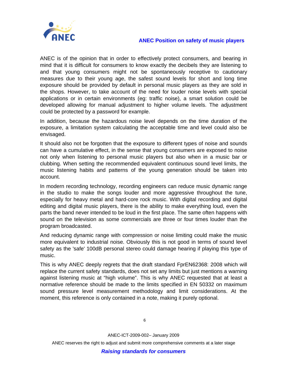



ANEC is of the opinion that in order to effectively protect consumers, and bearing in mind that it is difficult for consumers to know exactly the decibels they are listening to and that young consumers might not be spontaneously receptive to cautionary measures due to their young age, the safest sound levels for short and long time exposure should be provided by default in personal music players as they are sold in the shops. However, to take account of the need for louder noise levels with special applications or in certain environments (eg: traffic noise), a smart solution could be developed allowing for manual adjustment to higher volume levels. The adjustment could be protected by a password for example.

In addition, because the hazardous noise level depends on the time duration of the exposure, a limitation system calculating the acceptable time and level could also be envisaged.

It should also not be forgotten that the exposure to different types of noise and sounds can have a cumulative effect, in the sense that young consumers are exposed to noise not only when listening to personal music players but also when in a music bar or clubbing. When setting the recommended equivalent continuous sound level limits, the music listening habits and patterns of the young generation should be taken into account.

In modern recording technology, recording engineers can reduce music dynamic range in the studio to make the songs louder and more aggressive throughout the tune, especially for heavy metal and hard-core rock music. With digital recording and digital editing and digital music players, there is the ability to make everything loud, even the parts the band never intended to be loud in the first place. The same often happens with sound on the television as some commercials are three or four times louder than the program broadcasted.

And reducing dynamic range with compression or noise limiting could make the music more equivalent to industrial noise. Obviously this is not good in terms of sound level safety as the 'safe' 100dB personal stereo could damage hearing if playing this type of music.

This is why ANEC deeply regrets that the draft standard FprEN62368: 2008 which will replace the current safety standards, does not set any limits but just mentions a warning against listening music at "high volume". This is why ANEC requested that at least a normative reference should be made to the limits specified in EN 50332 on maximum sound pressure level measurement methodology and limit considerations. At the moment, this reference is only contained in a note, making it purely optional.

ANEC-ICT-2009-002– January 2009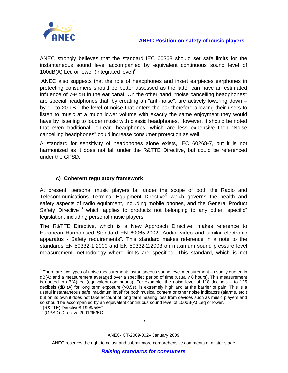

#### **ANEC Position on safety of music players**

ANEC strongly believes that the standard IEC 60368 should set safe limits for the instantaneous sound level accompanied by equivalent continuous sound level of 100dB(A) Leq or lower (integrated level) $8$ .

ANEC also suggests that the role of headphones and insert earpieces earphones in protecting consumers should be better assessed as the latter can have an estimated influence of 7-9 dB in the ear canal. On the other hand, "noise cancelling headphones" are special headphones that, by creating an "anti-noise", are actively lowering down – by 10 to 20 dB - the level of noise that enters the ear therefore allowing their users to listen to music at a much lower volume with exactly the same enjoyment they would have by listening to louder music with classic headphones. However, it should be noted that even traditional "on-ear" headphones, which are less expensive then "Noise cancelling headphones" could increase consumer protection as well.

A standard for sensitivity of headphones alone exists, IEC 60268-7, but it is not harmonized as it does not fall under the R&TTE Directive, but could be referenced under the GPSD.

#### **c) Coherent regulatory framework**

At present, personal music players fall under the scope of both the Radio and Telecommunications Terminal Equipment Directive<sup>9</sup> which governs the health and safety aspects of radio equipment, including mobile phones, and the General Product Safety Directive<sup>10</sup> which applies to products not belonging to any other "specific" legislation, including personal music players.

The R&TTE Directive, which is a New Approach Directive, makes reference to European Harmonised Standard EN 60065:2002 "Audio, video and similar electronic apparatus - Safety requirements". This standard makes reference in a note to the standards EN 50332-1:2000 and EN 50332-2:2003 on maximum sound pressure level measurement methodology where limits are specified. This standard, which is not

 $\overline{a}$ 

7

ANEC-ICT-2009-002– January 2009

 $8$  There are two types of noise measurement: instantaneous sound level measurement – usually quoted in dB(A) and a measurement averaged over a specified period of time (usually 8 hours). This measurement is quoted in  $dB(A)$ Leq (equivalent continuous). For example, the noise level of 118 decibels – to 125 decibels (dB (A) for long term exposure (>0,5s), is extremely high and at the barrier of pain. This is a useful instantaneous safe 'maximum level' for both musical content or other noise indicators (alarms, etc.) but on its own it does not take account of long term hearing loss from devices such as music players and so should be accompanied by an equivalent continuous sound level of 100dB(A) Leq or lower.

<sup>9</sup> (R&TTE) Directive8 1999/5/EC

<sup>10 (</sup>GPSD) Directive 2001/95/EC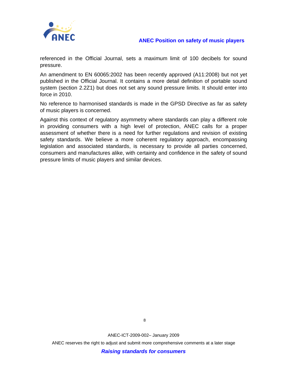

referenced in the Official Journal, sets a maximum limit of 100 decibels for sound pressure.

An amendment to EN 60065:2002 has been recently approved (A11:2008) but not yet published in the Official Journal. It contains a more detail definition of portable sound system (section 2.2Z1) but does not set any sound pressure limits. It should enter into force in 2010.

No reference to harmonised standards is made in the GPSD Directive as far as safety of music players is concerned.

Against this context of regulatory asymmetry where standards can play a different role in providing consumers with a high level of protection, ANEC calls for a proper assessment of whether there is a need for further regulations and revision of existing safety standards. We believe a more coherent regulatory approach, encompassing legislation and associated standards, is necessary to provide all parties concerned, consumers and manufactures alike, with certainty and confidence in the safety of sound pressure limits of music players and similar devices.

ANEC-ICT-2009-002– January 2009

ANEC reserves the right to adjust and submit more comprehensive comments at a later stage

*Raising standards for consumers*